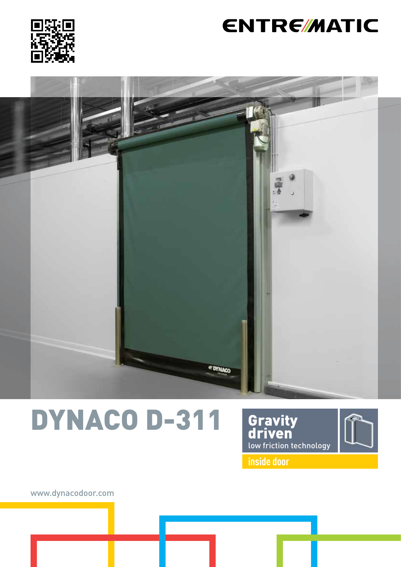

## **ENTRE/MATIC**



# DYNACO D-311





**inside door**

www.dynacodoor.com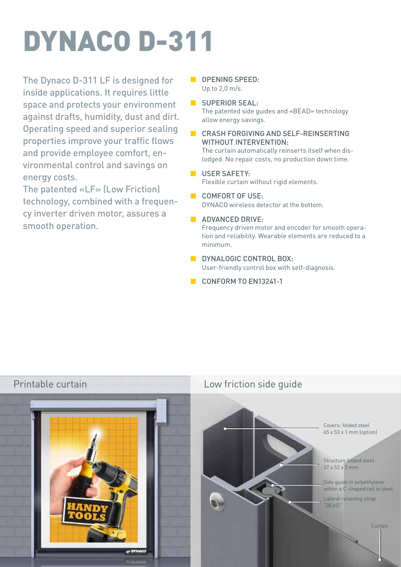# DYNACO D-311

The Dynaco D-311 LF is designed for inside applications. It requires little space and protects your environment against drafts, humidity, dust and dirt. Operating speed and superior sealing properties improve your traffic flows and provide employee comfort, environmental control and savings on energy costs.

The patented «LF» (Low Friction) technology, combined with a frequency inverter driven motor, assures a smooth operation.

- **DEEDING SPEED:** Up to 2,0 m/s.
- SUPERIOR SEAL: The patented side guides and «BEAD» technology allow energy savings.
- CRASH FORGIVING AND SELF-REINSERTING WITHOUT INTERVENTION:

The curtain automatically reinserts itself when dislodged. No repair costs, no production down time.

- **USER SAFETY:** Flexible curtain without rigid elements.
- COMFORT OF USE:

DYNACO wireless detector at the bottom.

**ADVANCED DRIVE:** 

Frequency driven motor and encoder for smooth operation and reliability. Wearable elements are reduced to a minimum.

- **B** DYNALOGIC CONTROL BOX: User-friendly control box with self-diagnosis.
- CONFORM TO EN13241-1



Printable curtain Low friction side guide

Covers: folded steel 65 x 53 x 1 mm (option)

Structure folded steel 37 x 52 x 3 mm

Side guide in polyethylene within a C-shaped rail in steel

Lateral retainIng strap "BEAD"

Curtain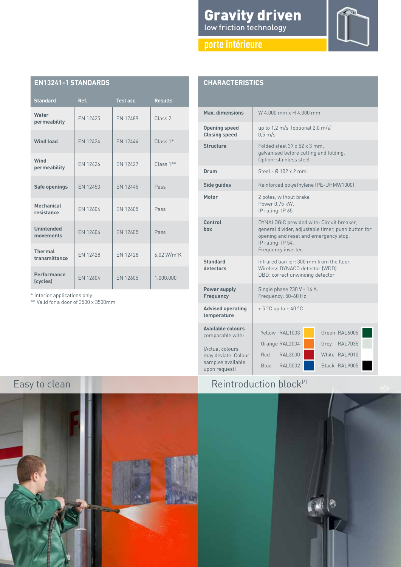### Gravity driven low friction technology

**porte intérieure**



| <b>CHARACTERISTICS</b> |  |  |
|------------------------|--|--|
|                        |  |  |

**EN13241-1 STANDARDS**

**Water**

**Wind**

**Mechanical**

**Unintended**

**Thermal**

**Performance**

\* Interior applications only \*\* Valid for a door of 3500 x 3500mm

**Standard Ref. Test acc. Results**

**permeability** EN 12425 EN 12489 Class 2

**Wind load** EN 12424 EN 12444 Class 1\*

**permeability** EN 12426 EN 12427 Class 1<sup>\*\*</sup>

**Safe openings** EN 12453 EN 12445 Pass

**resistance** EN 12604 EN 12605 Pass

**unintended** EN 12604 EN 12605 Pass

**(cycles)** EN 12604 EN 12605 1.000.000

 $\begin{array}{|c|c|c|c|}\n \hline\n \textbf{thermal} & \textbf{EN 12428} \\
\textbf{transmittance} & \textbf{EN 12428}\n \end{array}$ 

| W 4.000 mm x H 4.000 mm                                                                                                                                                              |  |  |
|--------------------------------------------------------------------------------------------------------------------------------------------------------------------------------------|--|--|
| up to $1,2$ m/s (optional $2,0$ m/s)<br>$0.5$ m/s                                                                                                                                    |  |  |
| Folded steel 37 x 52 x 3 mm.<br>galvanised before cutting and folding.<br>Option: stainless steel                                                                                    |  |  |
| Steel - Ø 102 x 2 mm.                                                                                                                                                                |  |  |
| Reinforced polyethylene (PE-UHMW1000)                                                                                                                                                |  |  |
| 2 poles, without brake.<br>Power 0.75 kW.<br>IP rating: IP 65                                                                                                                        |  |  |
| DYNALOGIC provided with: Circuit breaker,<br>general divider, adjustable timer, push button for<br>opening and reset and emergency stop.<br>IP rating: IP 54.<br>Frequency inverter. |  |  |
| Infrared barrier: 300 mm from the floor.<br>Wireless DYNACO detector (WDD)<br>DBD: correct unwinding detector                                                                        |  |  |
| Single phase 230 V - 14 A.<br>Frequency: 50-60 Hz                                                                                                                                    |  |  |
| $+5$ °C up to $+40$ °C                                                                                                                                                               |  |  |
| Yellow RAL1003<br>Green RAL6005<br>Orange RAL2004<br><b>RAL7035</b><br>Grey<br><b>RAL3000</b><br>White RAI 9010<br>Red<br>Black RAL9005<br><b>RAL5002</b><br><b>Blue</b>             |  |  |
|                                                                                                                                                                                      |  |  |

Reintroduction block<sup>PT</sup>



 $6.02 W/m<sup>2</sup>K$